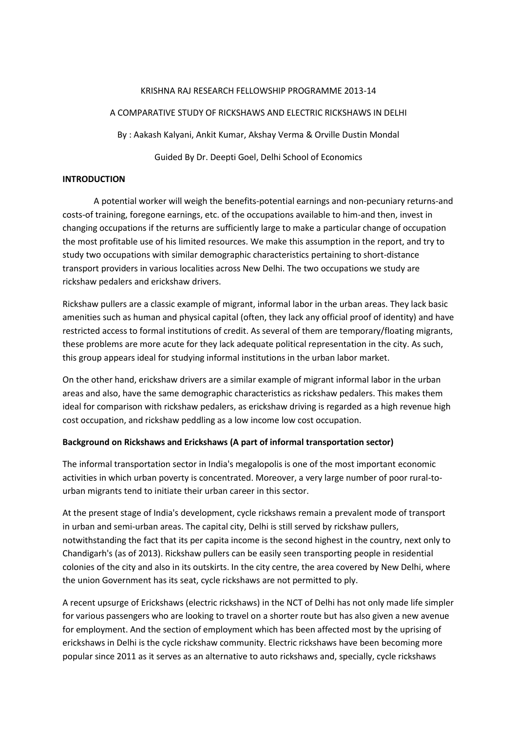#### KRISHNA RAJ RESEARCH FELLOWSHIP PROGRAMME 2013-14

### A COMPARATIVE STUDY OF RICKSHAWS AND ELECTRIC RICKSHAWS IN DELHI

By : Aakash Kalyani, Ankit Kumar, Akshay Verma & Orville Dustin Mondal

Guided By Dr. Deepti Goel, Delhi School of Economics

## **INTRODUCTION**

A potential worker will weigh the benefits-potential earnings and non-pecuniary returns-and costs-of training, foregone earnings, etc. of the occupations available to him-and then, invest in changing occupations if the returns are sufficiently large to make a particular change of occupation the most profitable use of his limited resources. We make this assumption in the report, and try to study two occupations with similar demographic characteristics pertaining to short-distance transport providers in various localities across New Delhi. The two occupations we study are rickshaw pedalers and erickshaw drivers.

Rickshaw pullers are a classic example of migrant, informal labor in the urban areas. They lack basic amenities such as human and physical capital (often, they lack any official proof of identity) and have restricted access to formal institutions of credit. As several of them are temporary/floating migrants, these problems are more acute for they lack adequate political representation in the city. As such, this group appears ideal for studying informal institutions in the urban labor market.

On the other hand, erickshaw drivers are a similar example of migrant informal labor in the urban areas and also, have the same demographic characteristics as rickshaw pedalers. This makes them ideal for comparison with rickshaw pedalers, as erickshaw driving is regarded as a high revenue high cost occupation, and rickshaw peddling as a low income low cost occupation.

# **Background on Rickshaws and Erickshaws (A part of informal transportation sector)**

The informal transportation sector in India's megalopolis is one of the most important economic activities in which urban poverty is concentrated. Moreover, a very large number of poor rural-tourban migrants tend to initiate their urban career in this sector.

At the present stage of India's development, cycle rickshaws remain a prevalent mode of transport in urban and semi-urban areas. The capital city, Delhi is still served by rickshaw pullers, notwithstanding the fact that its per capita income is the second highest in the country, next only to Chandigarh's (as of 2013). Rickshaw pullers can be easily seen transporting people in residential colonies of the city and also in its outskirts. In the city centre, the area covered by New Delhi, where the union Government has its seat, cycle rickshaws are not permitted to ply.

A recent upsurge of Erickshaws (electric rickshaws) in the NCT of Delhi has not only made life simpler for various passengers who are looking to travel on a shorter route but has also given a new avenue for employment. And the section of employment which has been affected most by the uprising of erickshaws in Delhi is the cycle rickshaw community. Electric rickshaws have been becoming more popular since 2011 as it serves as an alternative to auto rickshaws and, specially, cycle rickshaws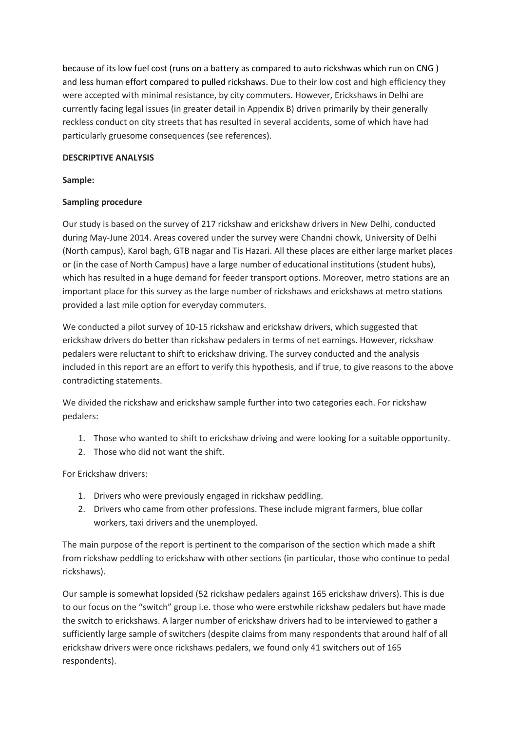because of its low fuel cost (runs on a battery as compared to auto rickshwas which run on CNG ) and less human effort compared to pulled rickshaws. Due to their low cost and high efficiency they were accepted with minimal resistance, by city commuters. However, Erickshaws in Delhi are currently facing legal issues (in greater detail in Appendix B) driven primarily by their generally reckless conduct on city streets that has resulted in several accidents, some of which have had particularly gruesome consequences (see references).

## **DESCRIPTIVE ANALYSIS**

## **Sample:**

# **Sampling procedure**

Our study is based on the survey of 217 rickshaw and erickshaw drivers in New Delhi, conducted during May-June 2014. Areas covered under the survey were Chandni chowk, University of Delhi (North campus), Karol bagh, GTB nagar and Tis Hazari. All these places are either large market places or (in the case of North Campus) have a large number of educational institutions (student hubs), which has resulted in a huge demand for feeder transport options. Moreover, metro stations are an important place for this survey as the large number of rickshaws and erickshaws at metro stations provided a last mile option for everyday commuters.

We conducted a pilot survey of 10-15 rickshaw and erickshaw drivers, which suggested that erickshaw drivers do better than rickshaw pedalers in terms of net earnings. However, rickshaw pedalers were reluctant to shift to erickshaw driving. The survey conducted and the analysis included in this report are an effort to verify this hypothesis, and if true, to give reasons to the above contradicting statements.

We divided the rickshaw and erickshaw sample further into two categories each. For rickshaw pedalers:

- 1. Those who wanted to shift to erickshaw driving and were looking for a suitable opportunity.
- 2. Those who did not want the shift.

For Erickshaw drivers:

- 1. Drivers who were previously engaged in rickshaw peddling.
- 2. Drivers who came from other professions. These include migrant farmers, blue collar workers, taxi drivers and the unemployed.

The main purpose of the report is pertinent to the comparison of the section which made a shift from rickshaw peddling to erickshaw with other sections (in particular, those who continue to pedal rickshaws).

Our sample is somewhat lopsided (52 rickshaw pedalers against 165 erickshaw drivers). This is due to our focus on the "switch" group i.e. those who were erstwhile rickshaw pedalers but have made the switch to erickshaws. A larger number of erickshaw drivers had to be interviewed to gather a sufficiently large sample of switchers (despite claims from many respondents that around half of all erickshaw drivers were once rickshaws pedalers, we found only 41 switchers out of 165 respondents).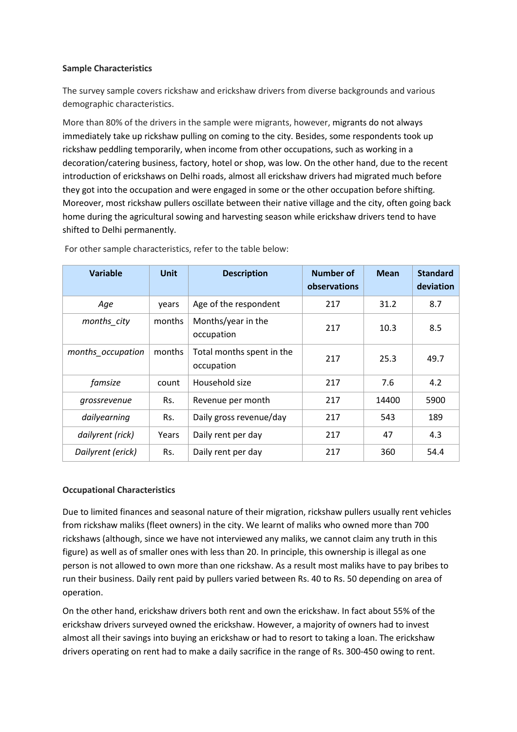## **Sample Characteristics**

The survey sample covers rickshaw and erickshaw drivers from diverse backgrounds and various demographic characteristics.

More than 80% of the drivers in the sample were migrants, however, migrants do not always immediately take up rickshaw pulling on coming to the city. Besides, some respondents took up rickshaw peddling temporarily, when income from other occupations, such as working in a decoration/catering business, factory, hotel or shop, was low. On the other hand, due to the recent introduction of erickshaws on Delhi roads, almost all erickshaw drivers had migrated much before they got into the occupation and were engaged in some or the other occupation before shifting. Moreover, most rickshaw pullers oscillate between their native village and the city, often going back home during the agricultural sowing and harvesting season while erickshaw drivers tend to have shifted to Delhi permanently.

| <b>Variable</b>   | <b>Unit</b> | <b>Description</b>                      | Number of<br>observations | <b>Mean</b> | <b>Standard</b><br>deviation |
|-------------------|-------------|-----------------------------------------|---------------------------|-------------|------------------------------|
| Age               | years       | Age of the respondent                   | 217                       | 31.2        | 8.7                          |
| months_city       | months      | Months/year in the<br>occupation        | 217                       | 10.3        | 8.5                          |
| months_occupation | months      | Total months spent in the<br>occupation | 217                       | 25.3        | 49.7                         |
| famsize           | count       | Household size                          | 217                       | 7.6         | 4.2                          |
| grossrevenue      | Rs.         | Revenue per month                       | 217                       | 14400       | 5900                         |
| dailyearning      | Rs.         | Daily gross revenue/day                 | 217                       | 543         | 189                          |
| dailyrent (rick)  | Years       | Daily rent per day                      | 217                       | 47          | 4.3                          |
| Dailyrent (erick) | Rs.         | Daily rent per day                      | 217                       | 360         | 54.4                         |

For other sample characteristics, refer to the table below:

### **Occupational Characteristics**

Due to limited finances and seasonal nature of their migration, rickshaw pullers usually rent vehicles from rickshaw maliks (fleet owners) in the city. We learnt of maliks who owned more than 700 rickshaws (although, since we have not interviewed any maliks, we cannot claim any truth in this figure) as well as of smaller ones with less than 20. In principle, this ownership is illegal as one person is not allowed to own more than one rickshaw. As a result most maliks have to pay bribes to run their business. Daily rent paid by pullers varied between Rs. 40 to Rs. 50 depending on area of operation.

On the other hand, erickshaw drivers both rent and own the erickshaw. In fact about 55% of the erickshaw drivers surveyed owned the erickshaw. However, a majority of owners had to invest almost all their savings into buying an erickshaw or had to resort to taking a loan. The erickshaw drivers operating on rent had to make a daily sacrifice in the range of Rs. 300-450 owing to rent.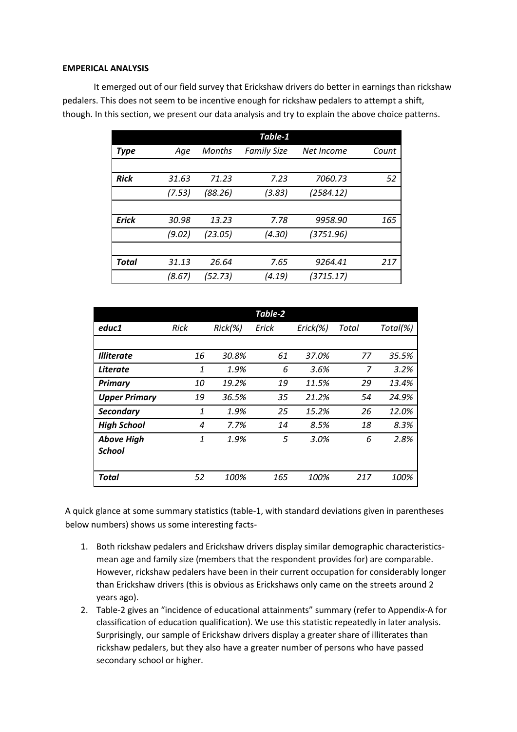#### **EMPERICAL ANALYSIS**

It emerged out of our field survey that Erickshaw drivers do better in earnings than rickshaw pedalers. This does not seem to be incentive enough for rickshaw pedalers to attempt a shift, though. In this section, we present our data analysis and try to explain the above choice patterns.

|              |        |               | Table-1            |            |       |
|--------------|--------|---------------|--------------------|------------|-------|
| Type         | Age    | <b>Months</b> | <b>Family Size</b> | Net Income | Count |
|              |        |               |                    |            |       |
| <b>Rick</b>  | 31.63  | 71.23         | 7.23               | 7060.73    | 52    |
|              | (7.53) | (88.26)       | (3.83)             | (2584.12)  |       |
|              |        |               |                    |            |       |
| <b>Erick</b> | 30.98  | 13.23         | 7.78               | 9958.90    | 165   |
|              | (9.02) | (23.05)       | (4.30)             | (3751.96)  |       |
|              |        |               |                    |            |       |
| Total        | 31.13  | 26.64         | 7.65               | 9264.41    | 217   |
|              | (8.67) | (52.73)       | (4.19)             | (3715.17)  |       |

|                      |             |            | Table-2 |          |       |          |
|----------------------|-------------|------------|---------|----------|-------|----------|
| educ1                | <b>Rick</b> | $Rick(\%)$ | Erick   | Erick(%) | Total | Total(%) |
|                      |             |            |         |          |       |          |
| <b>Illiterate</b>    | 16          | 30.8%      | 61      | 37.0%    | 77    | 35.5%    |
| <i>Literate</i>      | 1           | 1.9%       | 6       | 3.6%     | 7     | 3.2%     |
| <b>Primary</b>       | 10          | 19.2%      | 19      | 11.5%    | 29    | 13.4%    |
| <b>Upper Primary</b> | 19          | 36.5%      | 35      | 21.2%    | 54    | 24.9%    |
| <b>Secondary</b>     | 1           | 1.9%       | 25      | 15.2%    | 26    | 12.0%    |
| <b>High School</b>   | 4           | 7.7%       | 14      | 8.5%     | 18    | 8.3%     |
| <b>Above High</b>    | 1           | 1.9%       | 5       | 3.0%     | 6     | 2.8%     |
| <b>School</b>        |             |            |         |          |       |          |
|                      |             |            |         |          |       |          |
| Total                | 52          | 100%       | 165     | 100%     | 217   | 100%     |

A quick glance at some summary statistics (table-1, with standard deviations given in parentheses below numbers) shows us some interesting facts-

- 1. Both rickshaw pedalers and Erickshaw drivers display similar demographic characteristicsmean age and family size (members that the respondent provides for) are comparable. However, rickshaw pedalers have been in their current occupation for considerably longer than Erickshaw drivers (this is obvious as Erickshaws only came on the streets around 2 years ago).
- 2. Table-2 gives an "incidence of educational attainments" summary (refer to Appendix-A for classification of education qualification). We use this statistic repeatedly in later analysis. Surprisingly, our sample of Erickshaw drivers display a greater share of illiterates than rickshaw pedalers, but they also have a greater number of persons who have passed secondary school or higher.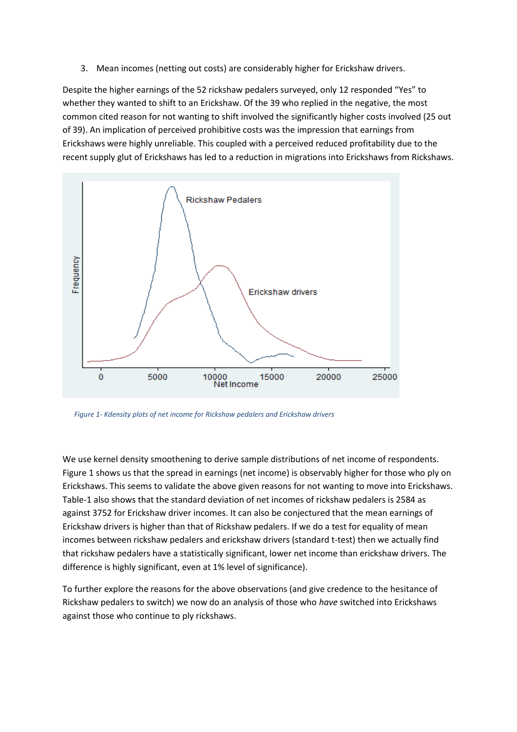3. Mean incomes (netting out costs) are considerably higher for Erickshaw drivers.

Despite the higher earnings of the 52 rickshaw pedalers surveyed, only 12 responded "Yes" to whether they wanted to shift to an Erickshaw. Of the 39 who replied in the negative, the most common cited reason for not wanting to shift involved the significantly higher costs involved (25 out of 39). An implication of perceived prohibitive costs was the impression that earnings from Erickshaws were highly unreliable. This coupled with a perceived reduced profitability due to the recent supply glut of Erickshaws has led to a reduction in migrations into Erickshaws from Rickshaws.



*Figure 1- Kdensity plots of net income for Rickshaw pedalers and Erickshaw drivers*

We use kernel density smoothening to derive sample distributions of net income of respondents. Figure 1 shows us that the spread in earnings (net income) is observably higher for those who ply on Erickshaws. This seems to validate the above given reasons for not wanting to move into Erickshaws. Table-1 also shows that the standard deviation of net incomes of rickshaw pedalers is 2584 as against 3752 for Erickshaw driver incomes. It can also be conjectured that the mean earnings of Erickshaw drivers is higher than that of Rickshaw pedalers. If we do a test for equality of mean incomes between rickshaw pedalers and erickshaw drivers (standard t-test) then we actually find that rickshaw pedalers have a statistically significant, lower net income than erickshaw drivers. The difference is highly significant, even at 1% level of significance).

To further explore the reasons for the above observations (and give credence to the hesitance of Rickshaw pedalers to switch) we now do an analysis of those who *have* switched into Erickshaws against those who continue to ply rickshaws.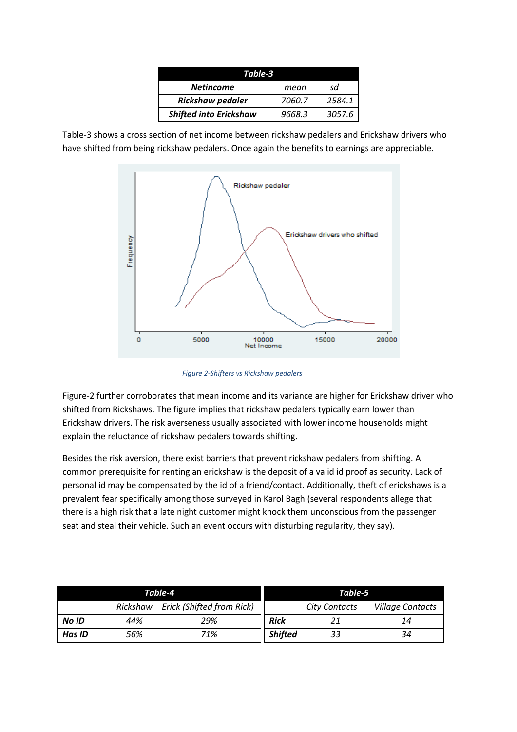| Table-3                       |        |        |  |  |  |
|-------------------------------|--------|--------|--|--|--|
| <b>Netincome</b>              | mean   | sd     |  |  |  |
| <b>Rickshaw pedaler</b>       | 7060.7 | 2584.1 |  |  |  |
| <b>Shifted into Erickshaw</b> | 9668.3 | 3057.6 |  |  |  |

Table-3 shows a cross section of net income between rickshaw pedalers and Erickshaw drivers who have shifted from being rickshaw pedalers. Once again the benefits to earnings are appreciable.



*Figure 2-Shifters vs Rickshaw pedalers*

Figure-2 further corroborates that mean income and its variance are higher for Erickshaw driver who shifted from Rickshaws. The figure implies that rickshaw pedalers typically earn lower than Erickshaw drivers. The risk averseness usually associated with lower income households might explain the reluctance of rickshaw pedalers towards shifting.

Besides the risk aversion, there exist barriers that prevent rickshaw pedalers from shifting. A common prerequisite for renting an erickshaw is the deposit of a valid id proof as security. Lack of personal id may be compensated by the id of a friend/contact. Additionally, theft of erickshaws is a prevalent fear specifically among those surveyed in Karol Bagh (several respondents allege that there is a high risk that a late night customer might knock them unconscious from the passenger seat and steal their vehicle. Such an event occurs with disturbing regularity, they say).

| Table-4       |                                       |     |                | Table-5              |                         |
|---------------|---------------------------------------|-----|----------------|----------------------|-------------------------|
|               | Erick (Shifted from Rick)<br>Rickshaw |     |                | <b>City Contacts</b> | <b>Village Contacts</b> |
| No ID         | 44%                                   | 29% | <b>Rick</b>    |                      | 14                      |
| <b>Has ID</b> | 56%                                   | 71% | <b>Shifted</b> | 33                   | 34                      |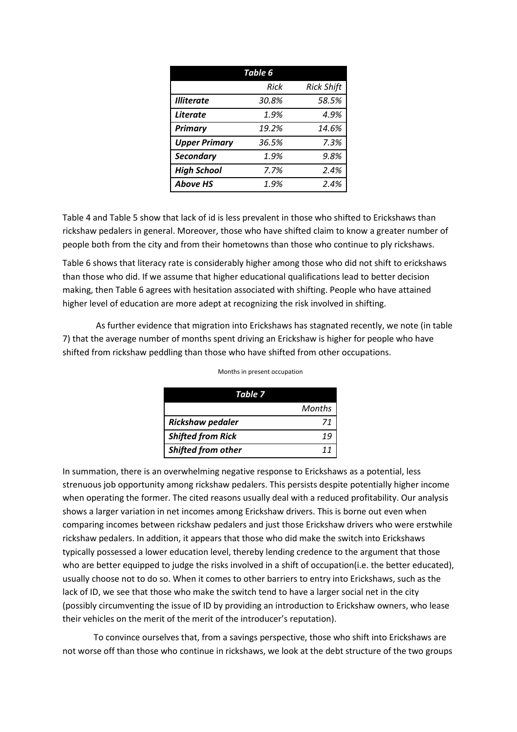| Table 6              |       |                   |  |  |  |
|----------------------|-------|-------------------|--|--|--|
|                      | Rick  | <b>Rick Shift</b> |  |  |  |
| <b>Illiterate</b>    | 30.8% | 58.5%             |  |  |  |
| <b>Literate</b>      | 1.9%  | 4.9%              |  |  |  |
| <b>Primary</b>       | 19.2% | 14.6%             |  |  |  |
| <b>Upper Primary</b> | 36.5% | 7.3%              |  |  |  |
| <b>Secondary</b>     | 1.9%  | 9.8%              |  |  |  |
| <b>High School</b>   | 7.7%  | 2.4%              |  |  |  |
| <b>Above HS</b>      | 1.9%  | 2.4%              |  |  |  |

Table 4 and Table 5 show that lack of id is less prevalent in those who shifted to Erickshaws than rickshaw pedalers in general. Moreover, those who have shifted claim to know a greater number of people both from the city and from their hometowns than those who continue to ply rickshaws.

Table 6 shows that literacy rate is considerably higher among those who did not shift to erickshaws than those who did. If we assume that higher educational qualifications lead to better decision making, then Table 6 agrees with hesitation associated with shifting. People who have attained higher level of education are more adept at recognizing the risk involved in shifting.

As further evidence that migration into Erickshaws has stagnated recently, we note (in table 7) that the average number of months spent driving an Erickshaw is higher for people who have shifted from rickshaw peddling than those who have shifted from other occupations.

| Table 7                  |        |
|--------------------------|--------|
|                          | Months |
| <b>Rickshaw pedaler</b>  |        |
| <b>Shifted from Rick</b> |        |
| Shifted from other       |        |

Months in present occupation

In summation, there is an overwhelming negative response to Erickshaws as a potential, less strenuous job opportunity among rickshaw pedalers. This persists despite potentially higher income when operating the former. The cited reasons usually deal with a reduced profitability. Our analysis shows a larger variation in net incomes among Erickshaw drivers. This is borne out even when comparing incomes between rickshaw pedalers and just those Erickshaw drivers who were erstwhile rickshaw pedalers. In addition, it appears that those who did make the switch into Erickshaws typically possessed a lower education level, thereby lending credence to the argument that those who are better equipped to judge the risks involved in a shift of occupation(i.e. the better educated), usually choose not to do so. When it comes to other barriers to entry into Erickshaws, such as the lack of ID, we see that those who make the switch tend to have a larger social net in the city (possibly circumventing the issue of ID by providing an introduction to Erickshaw owners, who lease their vehicles on the merit of the merit of the introducer's reputation).

To convince ourselves that, from a savings perspective, those who shift into Erickshaws are not worse off than those who continue in rickshaws, we look at the debt structure of the two groups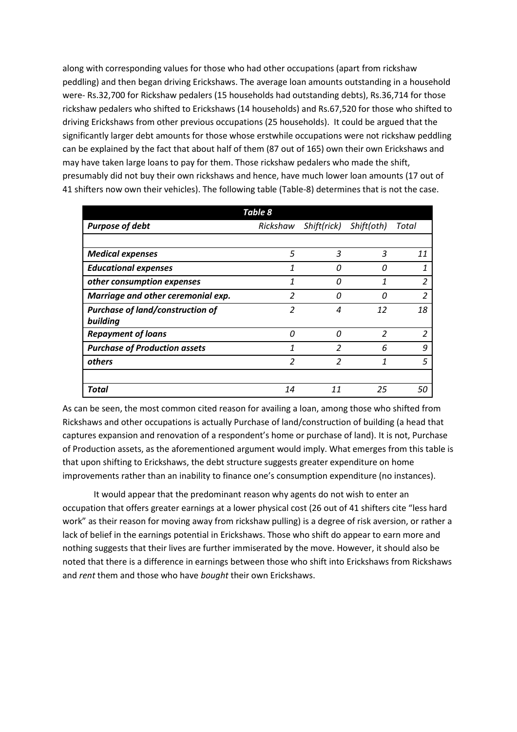along with corresponding values for those who had other occupations (apart from rickshaw peddling) and then began driving Erickshaws. The average loan amounts outstanding in a household were- Rs.32,700 for Rickshaw pedalers (15 households had outstanding debts), Rs.36,714 for those rickshaw pedalers who shifted to Erickshaws (14 households) and Rs.67,520 for those who shifted to driving Erickshaws from other previous occupations (25 households). It could be argued that the significantly larger debt amounts for those whose erstwhile occupations were not rickshaw peddling can be explained by the fact that about half of them (87 out of 165) own their own Erickshaws and may have taken large loans to pay for them. Those rickshaw pedalers who made the shift, presumably did not buy their own rickshaws and hence, have much lower loan amounts (17 out of 41 shifters now own their vehicles). The following table (Table-8) determines that is not the case.

|                                         | Table 8        |                      |               |                         |
|-----------------------------------------|----------------|----------------------|---------------|-------------------------|
| <b>Purpose of debt</b>                  |                | Rickshaw Shift(rick) | Shift(oth)    | Total                   |
|                                         |                |                      |               |                         |
| <b>Medical expenses</b>                 | 5              | 3                    | 3             | 11                      |
| <b>Educational expenses</b>             | 1              | n                    | O             | 1                       |
| other consumption expenses              | 1              | Ω                    | 1             | $\overline{\mathbf{c}}$ |
| Marriage and other ceremonial exp.      | $\overline{2}$ | Π                    | Ω             | $\overline{\mathbf{c}}$ |
| <b>Purchase of land/construction of</b> | 2              | 4                    | 12            | 18                      |
| building                                |                |                      |               |                         |
| <b>Repayment of loans</b>               | 0              | $\Omega$             | $\mathcal{P}$ | $\overline{2}$          |
| <b>Purchase of Production assets</b>    | 1              | 2                    | 6             | 9                       |
| others                                  | $\overline{2}$ | 2                    | 1             | 5                       |
|                                         |                |                      |               |                         |
| Total                                   | 14             | 11                   | 25            | 50                      |

As can be seen, the most common cited reason for availing a loan, among those who shifted from Rickshaws and other occupations is actually Purchase of land/construction of building (a head that captures expansion and renovation of a respondent's home or purchase of land). It is not, Purchase of Production assets, as the aforementioned argument would imply. What emerges from this table is that upon shifting to Erickshaws, the debt structure suggests greater expenditure on home improvements rather than an inability to finance one's consumption expenditure (no instances).

It would appear that the predominant reason why agents do not wish to enter an occupation that offers greater earnings at a lower physical cost (26 out of 41 shifters cite "less hard work" as their reason for moving away from rickshaw pulling) is a degree of risk aversion, or rather a lack of belief in the earnings potential in Erickshaws. Those who shift do appear to earn more and nothing suggests that their lives are further immiserated by the move. However, it should also be noted that there is a difference in earnings between those who shift into Erickshaws from Rickshaws and *rent* them and those who have *bought* their own Erickshaws.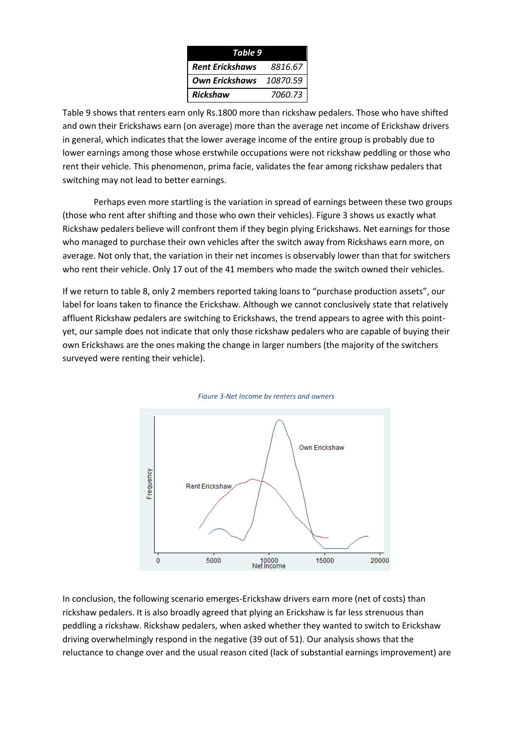| Table 9                |          |  |  |  |
|------------------------|----------|--|--|--|
| <b>Rent Erickshaws</b> | 8816.67  |  |  |  |
| <b>Own Erickshaws</b>  | 10870.59 |  |  |  |
| <b>Rickshaw</b>        | 7060.73  |  |  |  |

Table 9 shows that renters earn only Rs.1800 more than rickshaw pedalers. Those who have shifted and own their Erickshaws earn (on average) more than the average net income of Erickshaw drivers in general, which indicates that the lower average income of the entire group is probably due to lower earnings among those whose erstwhile occupations were not rickshaw peddling or those who rent their vehicle. This phenomenon, prima facie, validates the fear among rickshaw pedalers that switching may not lead to better earnings.

Perhaps even more startling is the variation in spread of earnings between these two groups (those who rent after shifting and those who own their vehicles). Figure 3 shows us exactly what Rickshaw pedalers believe will confront them if they begin plying Erickshaws. Net earnings for those who managed to purchase their own vehicles after the switch away from Rickshaws earn more, on average. Not only that, the variation in their net incomes is observably lower than that for switchers who rent their vehicle. Only 17 out of the 41 members who made the switch owned their vehicles.

If we return to table 8, only 2 members reported taking loans to "purchase production assets", our label for loans taken to finance the Erickshaw. Although we cannot conclusively state that relatively affluent Rickshaw pedalers are switching to Erickshaws, the trend appears to agree with this pointyet, our sample does not indicate that only those rickshaw pedalers who are capable of buying their own Erickshaws are the ones making the change in larger numbers (the majority of the switchers surveyed were renting their vehicle).





In conclusion, the following scenario emerges-Erickshaw drivers earn more (net of costs) than rickshaw pedalers. It is also broadly agreed that plying an Erickshaw is far less strenuous than peddling a rickshaw. Rickshaw pedalers, when asked whether they wanted to switch to Erickshaw driving overwhelmingly respond in the negative (39 out of 51). Our analysis shows that the reluctance to change over and the usual reason cited (lack of substantial earnings improvement) are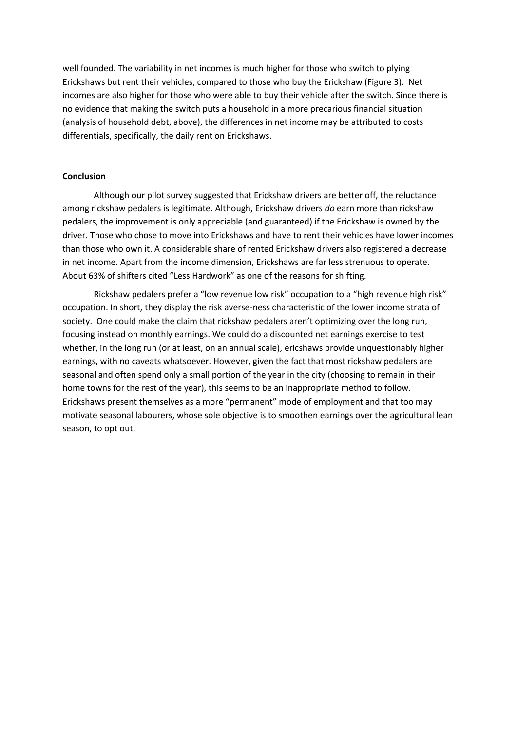well founded. The variability in net incomes is much higher for those who switch to plying Erickshaws but rent their vehicles, compared to those who buy the Erickshaw (Figure 3). Net incomes are also higher for those who were able to buy their vehicle after the switch. Since there is no evidence that making the switch puts a household in a more precarious financial situation (analysis of household debt, above), the differences in net income may be attributed to costs differentials, specifically, the daily rent on Erickshaws.

#### **Conclusion**

Although our pilot survey suggested that Erickshaw drivers are better off, the reluctance among rickshaw pedalers is legitimate. Although, Erickshaw drivers *do* earn more than rickshaw pedalers, the improvement is only appreciable (and guaranteed) if the Erickshaw is owned by the driver. Those who chose to move into Erickshaws and have to rent their vehicles have lower incomes than those who own it. A considerable share of rented Erickshaw drivers also registered a decrease in net income. Apart from the income dimension, Erickshaws are far less strenuous to operate. About 63% of shifters cited "Less Hardwork" as one of the reasons for shifting.

Rickshaw pedalers prefer a "low revenue low risk" occupation to a "high revenue high risk" occupation. In short, they display the risk averse-ness characteristic of the lower income strata of society. One could make the claim that rickshaw pedalers aren't optimizing over the long run, focusing instead on monthly earnings. We could do a discounted net earnings exercise to test whether, in the long run (or at least, on an annual scale), ericshaws provide unquestionably higher earnings, with no caveats whatsoever. However, given the fact that most rickshaw pedalers are seasonal and often spend only a small portion of the year in the city (choosing to remain in their home towns for the rest of the year), this seems to be an inappropriate method to follow. Erickshaws present themselves as a more "permanent" mode of employment and that too may motivate seasonal labourers, whose sole objective is to smoothen earnings over the agricultural lean season, to opt out.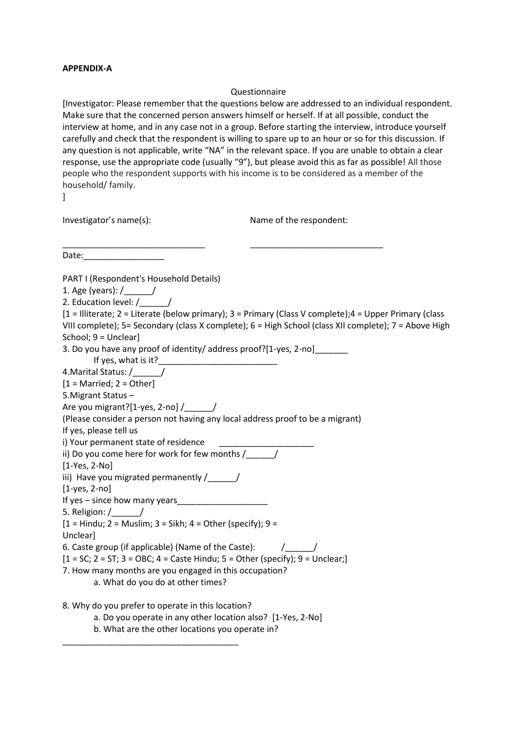#### **APPENDIX-A**

### Questionnaire

[Investigator: Please remember that the questions below are addressed to an individual respondent. Make sure that the concerned person answers himself or herself. If at all possible, conduct the interview at home, and in any case not in a group. Before starting the interview, introduce yourself carefully and check that the respondent is willing to spare up to an hour or so for this discussion. If any question is not applicable, write "NA" in the relevant space. If you are unable to obtain a clear response, use the appropriate code (usually "9"), but please avoid this as far as possible! All those people who the respondent supports with his income is to be considered as a member of the household/ family.

]

Investigator's name(s): Name of the respondent:

\_\_\_\_\_\_\_\_\_\_\_\_\_\_\_\_\_\_\_\_\_\_\_\_\_\_\_\_\_\_ \_\_\_\_\_\_\_\_\_\_\_\_\_\_\_\_\_\_\_\_\_\_\_\_\_\_\_\_ Date:

PART I (Respondent's Household Details)

1. Age (years): /\_\_\_\_\_\_/

2. Education level: /

[1 = Illiterate; 2 = Literate (below primary); 3 = Primary (Class V complete);4 = Upper Primary (class VIII complete); 5= Secondary (class X complete); 6 = High School (class XII complete); 7 = Above High School; 9 = Unclear]

3. Do you have any proof of identity/ address proof?[1-yes, 2-no]\_\_\_\_\_\_\_

If yes, what is it?

4.Marital Status: /\_\_\_\_\_\_/

 $[1 =$  Married;  $2 =$  Other]

5.Migrant Status – Are you migrant?[1-yes, 2-no] / \_\_\_\_\_/

(Please consider a person not having any local address proof to be a migrant)

If yes, please tell us

i) Your permanent state of residence

ii) Do you come here for work for few months /  $\qquad$  /

[1-Yes, 2-No]

iii) Have you migrated permanently  $/$ 

[1-yes, 2-no]

If yes  $-$  since how many years

5. Religion: /\_\_\_\_\_\_/

 $[1 =$  Hindu; 2 = Muslim; 3 = Sikh; 4 = Other (specify); 9 =

Unclear]

6. Caste group (if applicable) (Name of the Caste):  $/$ 

 $[1 = SC; 2 = ST; 3 = OBC; 4 = Caste Hindu; 5 = Other (specificity); 9 = Unclear;$ 

7. How many months are you engaged in this occupation?

a. What do you do at other times?

8. Why do you prefer to operate in this location?

\_\_\_\_\_\_\_\_\_\_\_\_\_\_\_\_\_\_\_\_\_\_\_\_\_\_\_\_\_\_\_\_\_\_\_\_\_

a. Do you operate in any other location also? [1-Yes, 2-No]

b. What are the other locations you operate in?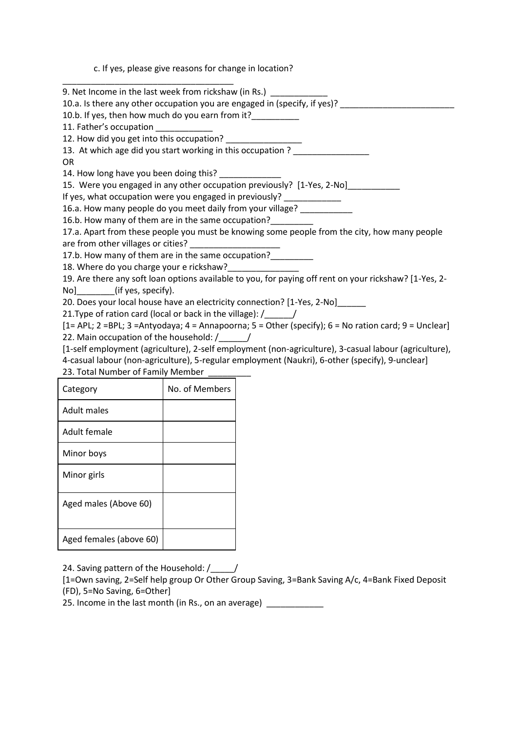c. If yes, please give reasons for change in location?

| 9. Net Income in the last week from rickshaw (in Rs.)                                           |                |                                                                                                                       |  |  |  |  |  |
|-------------------------------------------------------------------------------------------------|----------------|-----------------------------------------------------------------------------------------------------------------------|--|--|--|--|--|
| 10.a. Is there any other occupation you are engaged in (specify, if yes)?                       |                |                                                                                                                       |  |  |  |  |  |
| 10.b. If yes, then how much do you earn from it?                                                |                |                                                                                                                       |  |  |  |  |  |
| 11. Father's occupation ____________                                                            |                |                                                                                                                       |  |  |  |  |  |
| 12. How did you get into this occupation?                                                       |                |                                                                                                                       |  |  |  |  |  |
|                                                                                                 |                | 13. At which age did you start working in this occupation?                                                            |  |  |  |  |  |
| <b>OR</b>                                                                                       |                |                                                                                                                       |  |  |  |  |  |
| 14. How long have you been doing this? ______________                                           |                |                                                                                                                       |  |  |  |  |  |
|                                                                                                 |                | 15. Were you engaged in any other occupation previously? [1-Yes, 2-No]                                                |  |  |  |  |  |
| If yes, what occupation were you engaged in previously? _____________                           |                |                                                                                                                       |  |  |  |  |  |
|                                                                                                 |                | 16.a. How many people do you meet daily from your village?                                                            |  |  |  |  |  |
| 16.b. How many of them are in the same occupation?                                              |                |                                                                                                                       |  |  |  |  |  |
|                                                                                                 |                | 17.a. Apart from these people you must be knowing some people from the city, how many people                          |  |  |  |  |  |
| are from other villages or cities?                                                              |                | <u> 1990 - Johann Barn, mars and de Branch Barn, mars and de Branch Barn, mars and de Branch Barn, mars and de Br</u> |  |  |  |  |  |
| 17.b. How many of them are in the same occupation?________                                      |                |                                                                                                                       |  |  |  |  |  |
| 18. Where do you charge your e rickshaw?                                                        |                |                                                                                                                       |  |  |  |  |  |
|                                                                                                 |                | 19. Are there any soft loan options available to you, for paying off rent on your rickshaw? [1-Yes, 2-                |  |  |  |  |  |
| No] (if yes, specify).                                                                          |                |                                                                                                                       |  |  |  |  |  |
|                                                                                                 |                | 20. Does your local house have an electricity connection? [1-Yes, 2-No]                                               |  |  |  |  |  |
| 21. Type of ration card (local or back in the village): /_____/                                 |                |                                                                                                                       |  |  |  |  |  |
|                                                                                                 |                | [1= APL; 2 =BPL; 3 =Antyodaya; 4 = Annapoorna; 5 = Other (specify); 6 = No ration card; 9 = Unclear]                  |  |  |  |  |  |
| 22. Main occupation of the household: /                                                         |                |                                                                                                                       |  |  |  |  |  |
|                                                                                                 |                | [1-self employment (agriculture), 2-self employment (non-agriculture), 3-casual labour (agriculture),                 |  |  |  |  |  |
| 4-casual labour (non-agriculture), 5-regular employment (Naukri), 6-other (specify), 9-unclear] |                |                                                                                                                       |  |  |  |  |  |
| 23. Total Number of Family Member                                                               |                |                                                                                                                       |  |  |  |  |  |
| Category                                                                                        | No. of Members |                                                                                                                       |  |  |  |  |  |
| <b>Adult males</b>                                                                              |                |                                                                                                                       |  |  |  |  |  |
| Adult female                                                                                    |                |                                                                                                                       |  |  |  |  |  |

24. Saving pattern of the Household: /\_\_\_\_/

Minor boys

Minor girls

Aged males (Above 60)

Aged females (above 60)

[1=Own saving, 2=Self help group Or Other Group Saving, 3=Bank Saving A/c, 4=Bank Fixed Deposit (FD), 5=No Saving, 6=Other]

25. Income in the last month (in Rs., on an average) \_\_\_\_\_\_\_\_\_\_\_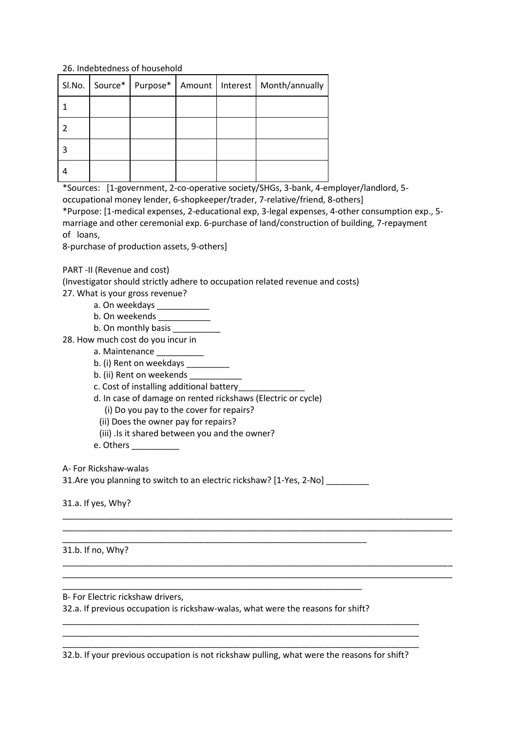## 26. Indebtedness of household

|  |  | SI.No.   Source*   Purpose*   Amount   Interest   Month/annually |
|--|--|------------------------------------------------------------------|
|  |  |                                                                  |
|  |  |                                                                  |
|  |  |                                                                  |
|  |  |                                                                  |

\*Sources: [1-government, 2-co-operative society/SHGs, 3-bank, 4-employer/landlord, 5 occupational money lender, 6-shopkeeper/trader, 7-relative/friend, 8-others]

\*Purpose: [1-medical expenses, 2-educational exp, 3-legal expenses, 4-other consumption exp., 5 marriage and other ceremonial exp. 6-purchase of land/construction of building, 7-repayment of loans,

8-purchase of production assets, 9-others]

PART -II (Revenue and cost)

(Investigator should strictly adhere to occupation related revenue and costs)

27. What is your gross revenue?

- a. On weekdays \_\_\_\_\_\_\_\_\_\_\_\_\_
- b. On weekends

b. On monthly basis

28. How much cost do you incur in

- a. Maintenance
- b. (i) Rent on weekdays \_\_\_\_\_\_\_\_\_\_
- b. (ii) Rent on weekends
- c. Cost of installing additional battery\_\_\_\_\_\_\_\_\_\_\_\_\_\_

d. In case of damage on rented rickshaws (Electric or cycle)

- (i) Do you pay to the cover for repairs?
- (ii) Does the owner pay for repairs?
- (iii) .Is it shared between you and the owner?

e. Others \_\_\_\_\_\_\_\_\_\_

A- For Rickshaw-walas

31.Are you planning to switch to an electric rickshaw? [1-Yes, 2-No]

\_\_\_\_\_\_\_\_\_\_\_\_\_\_\_\_\_\_\_\_\_\_\_\_\_\_\_\_\_\_\_\_\_\_\_\_\_\_\_\_\_\_\_\_\_\_\_\_\_\_\_\_\_\_\_\_\_\_\_\_\_\_\_\_

\_\_\_\_\_\_\_\_\_\_\_\_\_\_\_\_\_\_\_\_\_\_\_\_\_\_\_\_\_\_\_\_\_\_\_\_\_\_\_\_\_\_\_\_\_\_\_\_\_\_\_\_\_\_\_\_\_\_\_\_\_\_\_\_\_\_\_\_\_\_\_\_\_\_\_\_\_\_\_\_\_\_ \_\_\_\_\_\_\_\_\_\_\_\_\_\_\_\_\_\_\_\_\_\_\_\_\_\_\_\_\_\_\_\_\_\_\_\_\_\_\_\_\_\_\_\_\_\_\_\_\_\_\_\_\_\_\_\_\_\_\_\_\_\_\_\_\_\_\_\_\_\_\_\_\_\_\_\_\_\_\_\_\_\_

\_\_\_\_\_\_\_\_\_\_\_\_\_\_\_\_\_\_\_\_\_\_\_\_\_\_\_\_\_\_\_\_\_\_\_\_\_\_\_\_\_\_\_\_\_\_\_\_\_\_\_\_\_\_\_\_\_\_\_\_\_\_\_\_\_\_\_\_\_\_\_\_\_\_\_\_\_\_\_\_\_\_ \_\_\_\_\_\_\_\_\_\_\_\_\_\_\_\_\_\_\_\_\_\_\_\_\_\_\_\_\_\_\_\_\_\_\_\_\_\_\_\_\_\_\_\_\_\_\_\_\_\_\_\_\_\_\_\_\_\_\_\_\_\_\_\_\_\_\_\_\_\_\_\_\_\_\_\_\_\_\_\_\_\_

31.a. If yes, Why?

31.b. If no, Why?

B- For Electric rickshaw drivers,

32.a. If previous occupation is rickshaw-walas, what were the reasons for shift?

\_\_\_\_\_\_\_\_\_\_\_\_\_\_\_\_\_\_\_\_\_\_\_\_\_\_\_\_\_\_\_\_\_\_\_\_\_\_\_\_\_\_\_\_\_\_\_\_\_\_\_\_\_\_\_\_\_\_\_\_\_\_\_

\_\_\_\_\_\_\_\_\_\_\_\_\_\_\_\_\_\_\_\_\_\_\_\_\_\_\_\_\_\_\_\_\_\_\_\_\_\_\_\_\_\_\_\_\_\_\_\_\_\_\_\_\_\_\_\_\_\_\_\_\_\_\_\_\_\_\_\_\_\_\_\_\_\_\_ 32.b. If your previous occupation is not rickshaw pulling, what were the reasons for shift?

\_\_\_\_\_\_\_\_\_\_\_\_\_\_\_\_\_\_\_\_\_\_\_\_\_\_\_\_\_\_\_\_\_\_\_\_\_\_\_\_\_\_\_\_\_\_\_\_\_\_\_\_\_\_\_\_\_\_\_\_\_\_\_\_\_\_\_\_\_\_\_\_\_\_\_ \_\_\_\_\_\_\_\_\_\_\_\_\_\_\_\_\_\_\_\_\_\_\_\_\_\_\_\_\_\_\_\_\_\_\_\_\_\_\_\_\_\_\_\_\_\_\_\_\_\_\_\_\_\_\_\_\_\_\_\_\_\_\_\_\_\_\_\_\_\_\_\_\_\_\_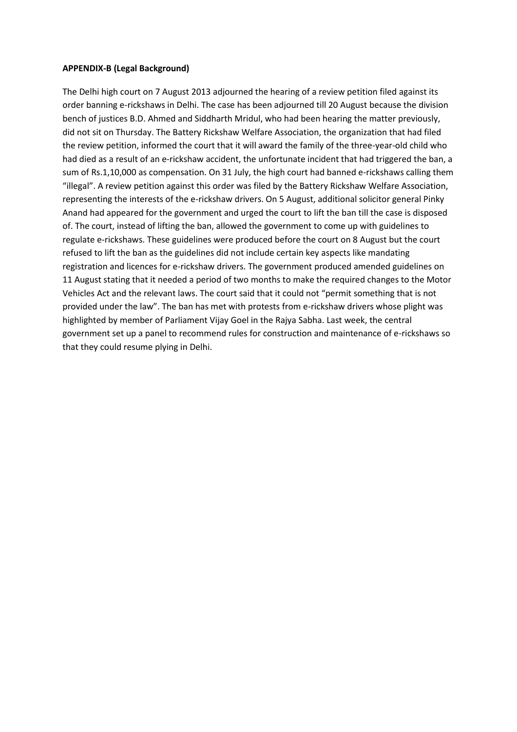#### **APPENDIX-B (Legal Background)**

The Delhi high court on 7 August 2013 adjourned the hearing of a review petition filed against its order banning e-rickshaws in Delhi. The case has been adjourned till 20 August because the division bench of justices B.D. Ahmed and Siddharth Mridul, who had been hearing the matter previously, did not sit on Thursday. The Battery Rickshaw Welfare Association, the organization that had filed the review petition, informed the court that it will award the family of the three-year-old child who had died as a result of an e-rickshaw accident, the unfortunate incident that had triggered the ban, a sum of Rs.1,10,000 as compensation. On 31 July, the high court had banned e-rickshaws calling them "illegal". A review petition against this order was filed by the Battery Rickshaw Welfare Association, representing the interests of the e-rickshaw drivers. On 5 August, additional solicitor general Pinky Anand had appeared for the government and urged the court to lift the ban till the case is disposed of. The court, instead of lifting the ban, allowed the government to come up with guidelines to regulate e-rickshaws. These guidelines were produced before the court on 8 August but the court refused to lift the ban as the guidelines did not include certain key aspects like mandating registration and licences for e-rickshaw drivers. The government produced amended guidelines on 11 August stating that it needed a period of two months to make the required changes to the Motor Vehicles Act and the relevant laws. The court said that it could not "permit something that is not provided under the law". The ban has met with protests from e-rickshaw drivers whose plight was highlighted by member of Parliament Vijay Goel in the Rajya Sabha. Last week, the central government set up a panel to recommend rules for construction and maintenance of e-rickshaws so that they could resume plying in Delhi.